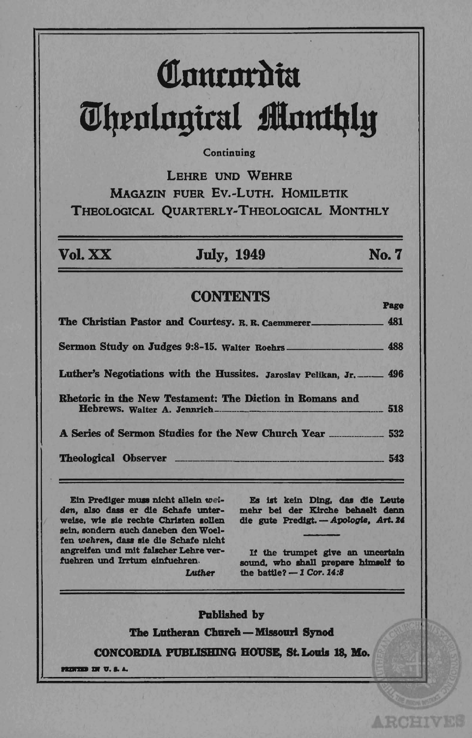# Comercia m~tnln!lttal **tlnttfJJlg**

### **Continuing**

LEHRE UND WEHRE MAGAZIN FUER Ev.-LuTH. HOMlLETIK THEOLOGICAL QUARTERLy-THEOLOGICAL MONTHLY

Vol. XX July, 1949 No.7

# CONTENTS Page

The Christian Pastor and Courtesy. R. R. Caemmerer \_\_\_\_\_\_ 481 Sermon Study on Judges 9:8-15. Walter Roehrs \_\_\_\_ , 488 Luther's Negotiations with the Hussites. Jaroslav Pelikan, Jr. ......... 496 Rhetoric in the New Testament: The Diction in Romans and Hebrews. Walter A • .1enmich-.-\_. \_\_\_\_\_\_\_\_\_ . \_\_\_\_\_\_\_\_\_\_\_ 518 A Series of Sermon Studies for the New Church Year \_\_\_\_\_\_\_\_\_\_\_\_ 532 Theological Observer \_\_\_\_\_\_\_\_\_\_\_\_\_\_\_\_\_\_\_\_\_\_\_ 543

Ein Prediger muss nicht allein weiden, also dass er die Schafe unterweise. wie sie rechte Christen sollen sein. sondern auch daneben den Woelfen wehren, dass sie die Schafe nicht angrelfen und mit falacher Lebre verfuehren und Irrtum einfuehren. Luther

Es ist kein Ding, das die Leute mebr bel der Klrche behaeIt denn die gute Predigt. - Apologie, Art. 24

If the trumpet give an uncertain sound, who shall prepare himself to the battle?  $-1$  Cor. 14:8

**ARCHIVES** 

Published by The Lutheran Church - Missouri Synod CONCORDIA PUBLISHING HOUSE, St. Louis 18, Mo.  $\frac{1}{100}$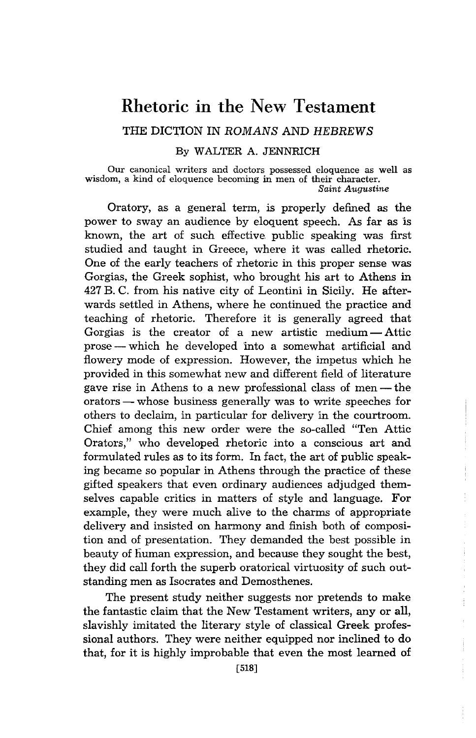# **Rhetoric in the** New **Testament**

## THE DICTION IN ROMANS AND HEBREWS

#### By WALTER A. JENNRICH

Our canonical writers and doctors possessed eloquence as well as wisdom, a kind of eloquence becoming in men of their character. *Saint Augustine* 

Oratory, as a general term, is properly defined as the power to sway an audience by eloquent speech. As far as is known, the art of such effective. public speaking was first studied and taught in Greece, where it was called rhetoric. One of the early teachers of rhetoric in this proper sense was Gorgias, the Greek sophist, who brought his art to Athens in 427 B. C. from his native city of Leontini in Sicily. He afterwards settled in Athens, where he continued the practice and teaching of rhetoric. Therefore it is generally agreed that Gorgias is the creator of a new artistic medium  $-$  Attic prose — which he developed into a somewhat artificial and flowery mode of expression. However, the impetus which he provided in this somewhat new and different field of literature gave rise in Athens to a new professional class of men—the orators - whose business generally was to write speeches for others to declaim, in particular for delivery 'in the courtroom. Chief among this new order were the so-called "Ten Attic Orators," who developed rhetoric into a conscious art and formulated rules as to its form. In fact, the art of public speaking became so popular in Athens through the practice of these gifted speakers that even ordinary audiences adjudged themselves capable critics in matters of style and language. For example, they were much alive to the charms of appropriate delivery and insisted on harmony and finish both of composition and of presentation. They demanded the best possible in beauty of human expression, and because they sought the best, they did call forth the superb oratorical virtuosity of such outstanding men as Isocrates and Demosthenes.

The present study neither suggests nor pretends to make the fantastic claim that the New Testament writers, any or all, slavishly imitated the literary style of classical Greek professional authors. They were neither equipped nor inclined to do that, for it is highly improbable that even the most learned of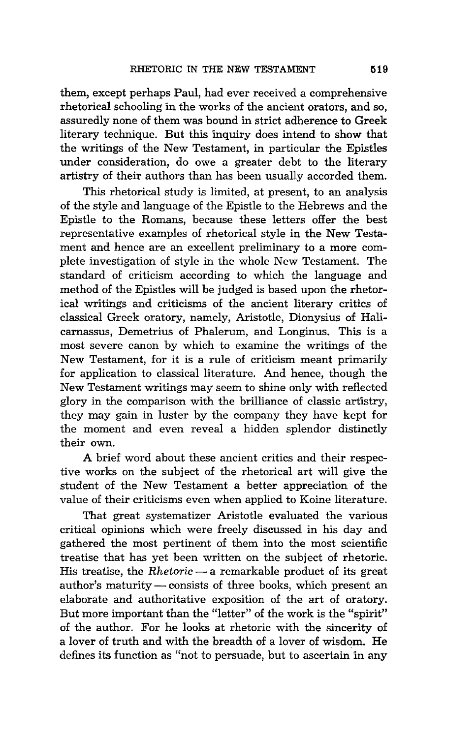them, except perhaps Paul, had ever received a comprehensive rhetorical schooling 'in the works of the ancient orators, and so, assuredly none of them was bound in strict adherence to Greek literary technique. But this inquiry does intend to show that the writings of the New Testament, in particular the Epistles under consideration, do owe a greater debt to the literary artistry of their authors than has been usually accorded them.

This rhetorical study is limited, at present, to an analysis of the style and language of the Epistle to the Hebrews and the Epistle to the Romans, because these letters offer the best representative examples of rhetorical style in the New Testament and hence are an excellent preliminary to a more complete investigation of style in the whole New Testament. The standard of criticism according to which the language and method of the Epistles will be judged is based upon the rhetorical writings and criticisms of the ancient literary critics of classical Greek oratory, namely, Aristotle, Dionysius of Halicarnassus, Demetrius of Phalerum, and Longinus. This is a most severe canon by which to examine the writings of the New Testament, for it is a rule of criticism meant primarily for application to classical literature. And hence, though the New Testament writings may seem to shine only with reflected glory in the comparison with the brilliance of classic artistry, they may gain in luster by the company they have kept for the moment and even reveal a hidden splendor distinctly their own.

A brief word about these ancient critics and their respective works on the subject of the rhetorical art will give the student of the New Testament a better appreciation of the value of their criticisms even when applied to Koine literature.

That great systematizer Aristotle evaluated the various critical opinions which were freely discussed in his day and gathered the most pertinent of them into the most scientific treatise that has yet been written on the subject of rhetoric. His treatise, the *Rhetoric* — a remarkable product of its great author's maturity - consists of three books, which present an elaborate and authoritative exposition of the art of oratory. But more important than the "letter" of the work is the "spirit" of the author. For he looks at rhetoric with the sincerity of a lover of truth and with the breadth of a lover of wisdom. He defines its function as "not to persuade, but to ascertain in any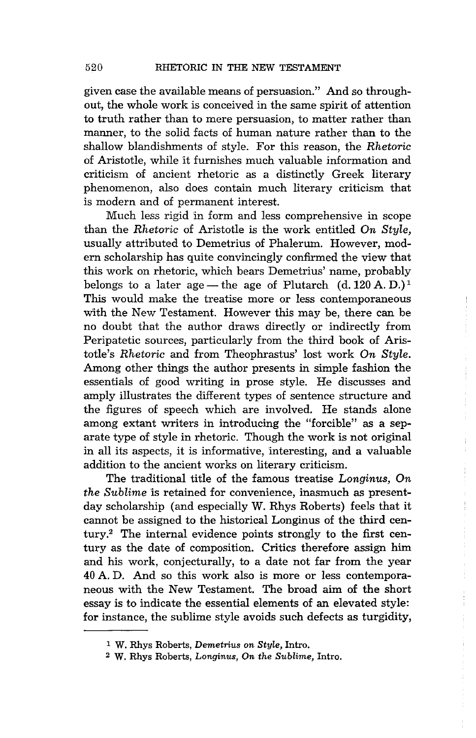given case the available means of persuasion." And so throughout, the whole work is conceived in the same spirit of attention to truth rather than to mere persuasion, to matter rather than manner, to the solid facts of human nature rather than to the shallow blandishments of style. For this reason, the *Rhetoric*  of Aristotle, while it furnishes much valuable information and criticism of ancient rhetoric as a distinctly Greek literary phenomenon, also does contain much literary criticism that is modern and of permanent interest.

Much less rigid in form and less comprehensive in scope than the *Rhetoric* of Aristotle is the work entitled *On Style,*  usually attributed to Demetrius of Phalerum. However, modern scholarship has quite convincingly confirmed the view that this work on rhetoric, which bears Demetrius' name, probably belongs to a later age — the age of Plutarch  $(d. 120 A. D.)<sup>1</sup>$ This would make the treatise more or less contemporaneous with the New Testament. However this may be, there can be no doubt that the author draws directly or indirectly from Peripatetic sources, particularly from the third book of Aristotle's *Rhetoric* and from Theophrastus' lost work On Style. Among other things the author presents in simple fashion the essentials of good writing in prose style. He discusses and amply illustrates the different types of sentence structure and the figures of speech which are involved. He stands alone among extant writers in introducing the "forcible" as a separate type of style in rhetoric. Though the work is not original in all its aspects, it is informative, interesting, and a valuable addition to the ancient works on literary criticism.

The traditional title of the famous treatise *Longinus, On the Sublime* is retained for convenience, inasmuch as presentday scholarship (and especially W. Rhys Roberts) feels that it cannot be assigned to the historical Longinus of the third century.2 The internal evidence points strongly to the first century as the date of composition. Critics therefore assign him and his work, conjecturally, to a date not far from the year 40 A. D. And so this work also is more or less contemporaneous with the New Testament. The broad aim of the short essay is to indicate the essential elements of an elevated style: for instance, the sublime style avoids such defects as turgidity,

<sup>1</sup>W. Rhys Roberts, *Demetrius on Style,* Intro.

<sup>2</sup> W. Rhys Roberts, *Longinus, On the Sublime,* Intro.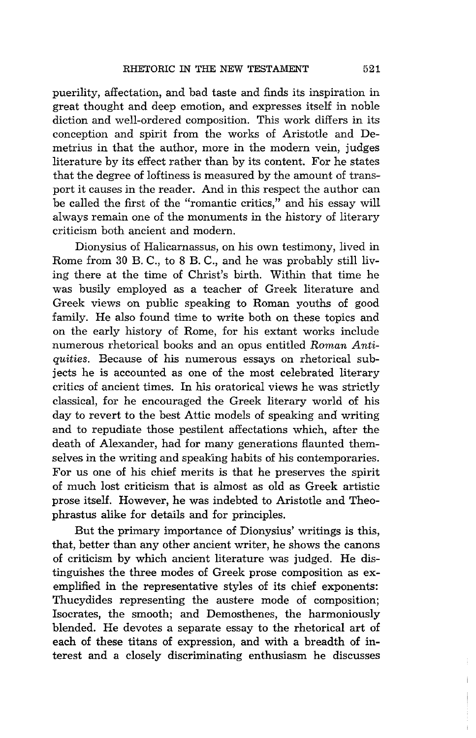puerility, affectation, and bad taste and finds its inspiration in great thought and deep emofion, and expresses itself in noble diction and well-ordered composition. This work differs in its conception and spirit from the works of Aristotle and Demetrius in that the author, more in the modern vein, judges literature by its effect rather than by its content. For he states that the degree of loftiness is measured by the amount of transport it causes in the reader. And in this respect the author can be called the first of the "romantic critics," and his essay will always remain one of the monuments in the history of literary criticism both ancient and modern.

Dionysius of Halicarnassus, on his own testimony, lived in Rome from 30 B. C., to 8 B. C., and he was probably still living there at the time of Christ's birth. Within that time he was busily employed as a teacher of Greek literature and Greek views on public speaking to Roman youths of good family. He also found time to write both on these topics and on the early history of Rome, for his extant works include numerous rhetorical books and an opus entitled *Roman Antiquities.* Because of his numerous essays on rhetorical subjects he is accounted as one of the most celebrated literary critics of ancient times. In his oratorical views he was strictly classical, for he encouraged the Greek literary world of his day to revert to the best Attic models of speaking and writing and to repudiate those pestilent affectations which, after the death of Alexander, had for many generations flaunted themselves in the writing and speaking habits of his contemporaries. For us one of his chief merits is that he preserves the spirit of much lost criticism that is almost as old as Greek artistic prose itself. However, he was indebted to Aristotle and Theophrastus alike for details and for principles.

But the primary importance of Dionysius' writings is this, that, better than any other ancient writer, he shows the canons of criticism by which ancient literature was judged. He distinguishes the three modes of Greek prose composition as exemplified in the representative styles of its chief exponents: Thucydides representing the austere mode of composition; Isocrates, the smooth; and Demosthenes, the harmoniously blended. He devotes a separate essay to the rhetorical art of each of these titans of expression, and with a breadth of interest and a closely discriminating enthusiasm he discusses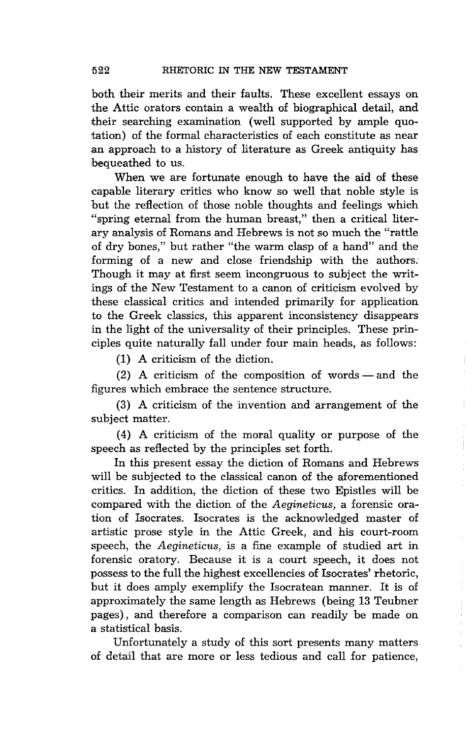both their merits and their faults. These excellent essays on the Attic orators contain a wealth of biographical detail, and their searching examination (well supported by ample quotation) of the formal characteristics of each constitute as near an approach to a history of literature as Greek antiquity has bequeathed to us.

When we are fortunate enough to have the aid of these 'Capable literary critics who know so well that noble style is but the reflection of those noble thoughts and feelings which "spring eternal from the human breast," then a critical literary analysis of Romans and Hebrews is not so much the "rattle of dry bones," but rather "the warm clasp of a hand" and the forming of a new and close friendship with the authors.' Though it may at first seem 'incongruous to subject the writings of the New Testament to a canon of criticism evolved by these classical critics and intended primarily for application to the Greek classics, this apparent inconsistency disappears in the light of the universality of their principles. These principles quite naturally fall under four main heads, as follows:

(1) A criticism of the diction.

 $(2)$  A criticism of the composition of words — and the figures which embrace the sentence structure.

(3) A criticism of the 'invention and arrangement of the subject matter.

(4) A criticism of the moral quality or purpose of the speech as reflected by the principles set forth.

In this present essay the diction of Romans and Hebrews will be subjected to the classical canon of the aforementioned critics. In addition, the diction of these two Epistles will be compared with the diction of the *Aegineticus*, a forensic oration of Isocrates. Isocrates is the acknowledged master of artistic prose style in the Attic Greek, and his court-room speech, the *Aegineticus*, is a fine example of studied art in forensic oratory. Because it is a court speech, it does not possess to the full the highest excellencies of Isocrates' rhetoric, but it does amply exemplify the Isocratean manner. It is of approximately the same length as Hebrews (being 13 Teubner pages), and therefore a comparison can readily be made on a statistical basis.

Unfortunately a study of this sort presents many matters of detail that are more or less tedious and call for patience,

 $\frac{1}{3}$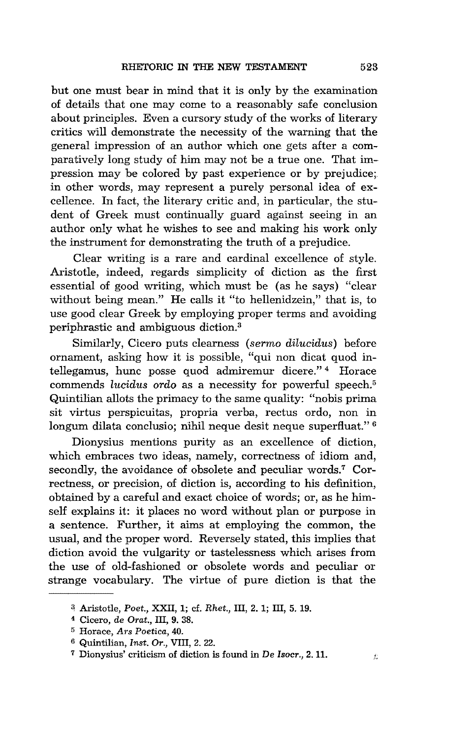but one must bear in mind that it is only by the examination of details that one may come to a reasonably safe conclusion about principles. Even a cursory study of the works of literary critics Will demonstrate the necessity of the warning that the general impression of an author which one gets after a comparatively long study of him may not be a true one. That impression may be colored by past experience or by prejudice; in other words, may represent a purely personal idea of excellence. In fact, the literary critic and, in particular, the student of Greek must continually guard against seeing in an author only what he wishes to see and making his work only the instrument for demonstrating the truth of a prejudice.

Clear writing is a rare and cardinal excellence of style. Aristotle, indeed, regards simplicity of diction as the first essential of good writing, which must be (as he says) "clear without being mean." He calls it "to hellenidzein," that is, to use good clear Greek by employing proper terms and avoiding periphrastic and ambiguous diction.3

Similarly, Cicero puts clearness *(sermo dilucidus)* before ornament, asking how it is possible, "qui non dicat quod intellegamus, hunc posse quod admiremur dicere." 4 Horace commends *lucidus ordo* as a necessity for powerful speech.<sup>5</sup> Quintilian allots the primacy to the same quality: "nobis prima sit virtus perspicuitas, propria verba, rectus ordo, non in longum dilata conclusio; nihil neque desit neque superfluat."<sup>6</sup>

Dionysius mentions purity as an excellence of diction, which embraces two ideas, namely, correctness of idiom and, secondly, the avoidance of obsolete and peculiar words.<sup>7</sup> Correctness, or precision, of diction is, according to his definition, obtained by a careful and exact choice of words; or, as he himself explains it: it places no word without plan or purpose in a sentence. Further, it aims at employing the common, the usual, and the proper word. Reversely stated, this implies that diction avoid the vulgarity or tastelessness which arises from the use of old-fashioned or obsolete words and peculiar or strange vocabulary. The virtue of pure diction is that the

<sup>~</sup>Aristotle, *Poet.,* XXII, 1; cf. *Rhet.,* III, 2. 1; III, 5. 19.

<sup>4</sup> Cicero, de *Orat.,* III, 9. 38.

<sup>5</sup> Horace, *Ars Poetica, 40.* 

<sup>6</sup> Quintilian, *Inst. Or.,* VIII, 2. 22.

<sup>&</sup>lt;sup>7</sup> Dionysius' criticism of diction is found in De *Isocr.*, 2. 11.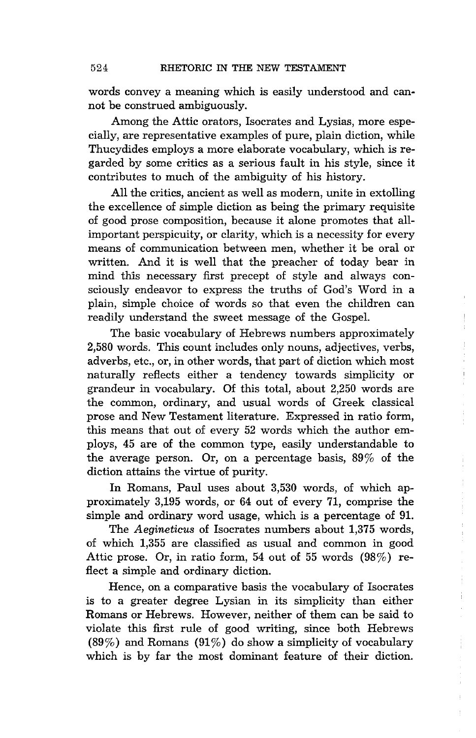words convey a meaning which is easily understood and cannot be construed ambiguously.

Among the Attic orators, Isocrates and Lysias, more especially, are representative examples of pure, plain diction, while Thucydides employs a more elaborate vocabulary, which is regarded by some critics as a serious fault in his style, since it contributes to much of the ambiguity of his history.

All the critics, ancient as well as modern, unite in extolling the excellence of simple diction as being the primary requisite of good prose composition, because it alone promotes that a11 important perspicuity, or clarity, which is a necessity for every means of communication between men, whether it be oral or written. And it is well that the preacher of today bear in mind this necessary first precept of style and always consciously endeavor to express the truths of God's Word in a plain, simple choice of words so that even the children can readily understand the sweet message of the Gospel.

The basic vocabulary of Hebrews numbers approximately 2,580 words. This count includes only nouns, adjectives, verbs, adverbs, etc., or, in other words, that part of diction which most naturally reflects either a tendency towards simplicity or grandeur in vocabulary. Of this total, about 2,250 words are the common, ordinary, and usual words of Greek classical prose and New Testament literature. Expressed in ratio form, this means that out of every 52 words which the author employs, 45 are of the common type, easily understandable to the average person. Or, on a percentage basis, 89% of the diction attains the virtue of purity.

In Romans, Paul uses about 3,530 words, of which approximately 3,195 words, or 64 out of every 71, comprise the simple and ordinary word usage, which is a percentage of 9l.

The *Aegineticus* of Isocrates numbers about 1,375 words, of which 1,355 are classified as usual and common in good Attic prose. Or, in ratio form, 54 out of 55 words (98%) reflect a simple and ordinary diction.

Hence, on a comparative basis the vocabulary of Isocrates is to a greater degree Lysian in its simplicity than either Romans or Hebrews. However, neither of them can be said to violate this first rule of good writing, since both Hebrews  $(89\%)$  and Romans  $(91\%)$  do show a simplicity of vocabulary which is by far the most dominant feature of their diction.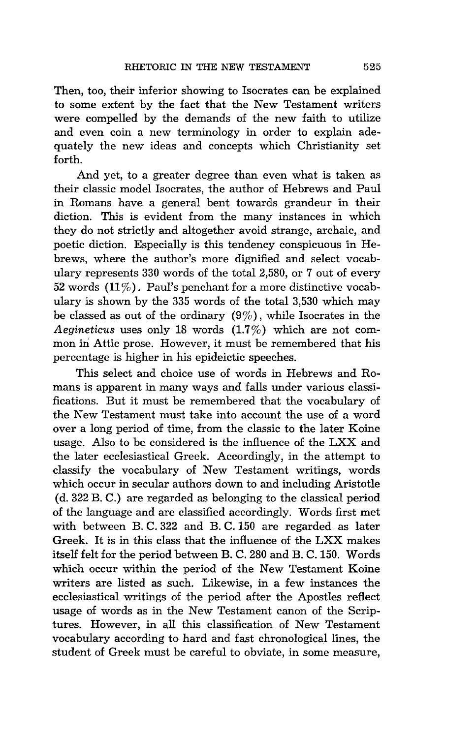Then, too, their inferior showing to Isocrates can be explained to some extent by the fact that the New Testament writers were compelled by the demands of the new faith to utilize and even coin a new terminology in order to explain adequately the new ideas and concepts which Christianity set forth.

And yet, to a greater degree than even what is taken as their classic model Isocrates, the author of Hebrews and Paul in Romans have a general bent towards grandeur in their diction. This is evident from the many instances in which they do not strictly and altogether avoid strange, archaic, and poetic diction. Especially is this tendency conspicuous 'in Hebrews, where the author's more dignified and select vocabulary represents 330 words of the total 2,580, or 7 out of every 52 words  $(11\%)$ . Paul's penchant for a more distinctive vocabulary is shown by the 335 words of the total 3,530 which may be classed as out of the ordinary  $(9\%)$ , while Isocrates in the Aegineticus uses only 18 words (1.7%) which are not common in Attic prose. However, it must be remembered that his percentage is higher in his epideictic speeches.

This select and choice use of words in Hebrews and Romans is apparent in many ways and falls under various classifications. But it must be remembered that the vocabulary of the New Testament must take into account the use of a word over a long period of time, from the classic to the later Koine usage. Also to be considered is the influence of the LXX and the later ecclesiastical Greek. Accordingly, in the attempt to classify the vocabulary of New Testament writings, words which occur in secular authors down to and including Aristotle (d. 322 B. C.) are regarded as belonging to the classical period of the language and are classified accordingly. Words first met with between B. C. 322 and B. C. 150 are regarded as later Greek. It is in this class that the influence of the LXX makes itself felt for the period between B. C. 280 and B. C. 150. Words which occur within the period of the New Testament Koine writers are listed as such. Likewise, in a few instances the ecclesiastical writings of the period after the Apostles reflect usage of words as in the New Testament canon of the Scriptures. However, in all this classification of New Testament vocabulary according to hard and fast chronological lines, the student of Greek must be careful to obviate, in some measure,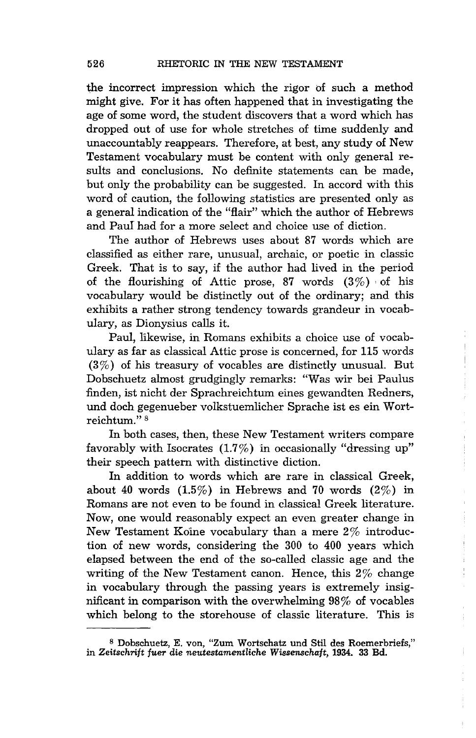the incorrect impression which the rigor of such a method might give. For it has often happened that in investigating the age of some word, the student discovers that a word which has dropped out of use for whole stretches of time suddenly and unaccountably reappears. Therefore, at best, any study of New Testament vocabulary must be content with only general results and conclusions. No definite statements can be made, but only the probability can be suggested. In accord with this word of caution, the following statistics are presented only as a general indication of the "flair" which the author of Hebrews and Paul had for a more select and choice use of diction.

The author of Hebrews uses about 87 words which are classified as either rare, unusual, archaic, or poetic in classic Greek. That is to say, if the author had lived in the period of the flourishing of Attic prose, 87 words  $(3\%)$  of his vocabulary would be distinctly out of the ordinary; and this exhibits a rather strong tendency towards grandeur in vocabulary, as Dionysius calls it.

Paul, likewise, in Romans exhibits a choice use of vocabulary as far as classical Attic prose is concerned, for 115 words (3%) of his treasury of vocables are distinctly unusual. But Dobschuetz almost grudgingly remarks: "Was wir bei Paulus finden, ist nicht der Sprachreichtum eines gewandten Redners, und doch gegenueber volkstuemlicher Sprache ist es ein Wortreichtum." 8

In both cases, then, these New Testament writers compare favorably with Isocrates  $(1.7\%)$  in occasionally "dressing up" their speech pattern with distinctive diction.

In addition to words which are rare in classical Greek, about 40 words  $(1.5\%)$  in Hebrews and 70 words  $(2\%)$  in Romans are not even to be found in classical Greek literature. Now, one would reasonably expect an even greater change in New Testament Koine vocabulary than a mere 2% introduction of new words, considering the 300 to 400 years which elapsed between the end of the so-called classic age and the writing of the New Testament canon. Hence, this 2% change in vocabulary through the passing years is extremely insignificant in comparison with the overwhelming 98% of vocables which belong to the storehouse of classic literature. This is

<sup>8</sup> Dobschuetz, E. von, "Zum Wortschatz und Stil des Roemerbriefs," in *Zeitschrift fuer die neutestamentliche Wissenschaft,* 1934. 33 Bd.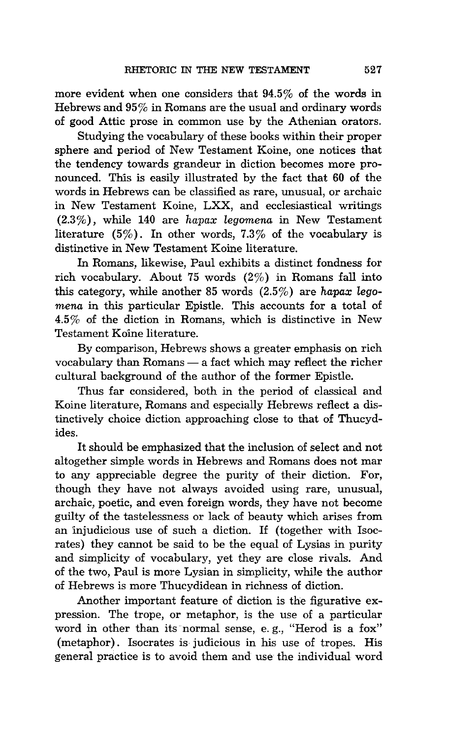more evident when one considers that 94.5% of the words in Hebrews and 95% in Romans are the usual and ordinary words of good Attic prose in common use by the Athenian orators.

Studying the vocabulary of these books within their proper sphere and period of New Testament Koine, one notices that the tendency towards grandeur in diction becomes more pronounced. This is easily illustrated by the fact that 60 of the words in Hebrews can be classified as rare, unusual, or archaic in New Testament Koine, LXX, and ecclesiastical writings (2.3%), while 140 are, *hapax legomena* in New Testament literature (5%). In other words, 7.3% of the vocabulary is distinctive in New Testament Koine literature.

In Romans, likewise, Paul exhibits a distinct fondness for rich vocabulary. About 75 words (2%) in Romans fall into this category, while another 85 words (2.5%) are *hapax legomena* in this particular Epistle. This accounts for a total of 4.5% of the diction in Romans, which is distinctive in New Testament Kaine literature.

By comparison, Hebrews shows a greater emphasis on rich vocabulary than Romans - a fact which may reflect the richer cultural background of the author of the former Epistle.

Thus far considered, both in the period of classical and Koine literature, Romans and especially Hebrews reflect a distinctively choice diction approaching close to that of Thucydides.

It should be emphasized that the inclusion of select and not altogether simple words in Hebrews and Romans does not mar to any appreciable degree the purity of their diction. For, though they have not always avoided using rare, unusual, archaic, poetic, and even foreign words, they have not become guilty of the tastelessness or lack of beauty which arises from an injudicious use of such a diction. If (together with Isocrates) they cannot be said to be the equal of Lysias in purity and simplicity of vocabulary, yet they are close rivals. And of the two, Paul is more Lysian in simplicity, while the author of Hebrews is more Thucydidean in richness of diction.

Another important feature of diction is the figurative expression. The trope, or metaphor, is the use of a particular word in other than its normal sense, e. g., "Herod is a fox" (metaphor). Isocrates is judicious in his use of tropes. His general practice is to avoid them and use the individual word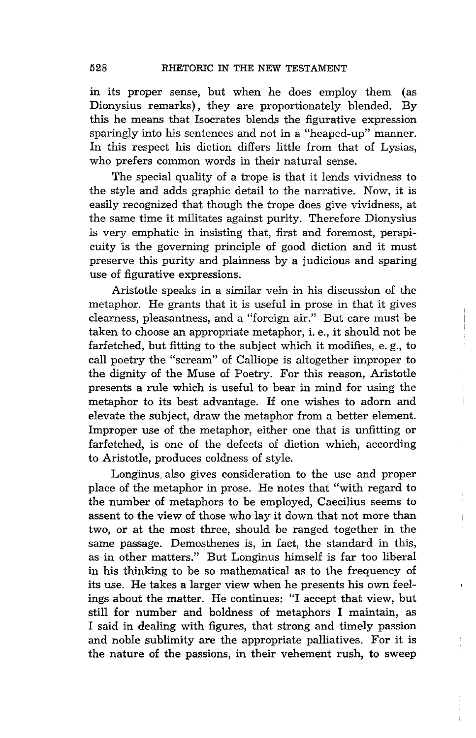in its proper sense, but when he does employ them (as Dionysius remarks), they are proportionately blended. By this he means that Isocrates blends the figurative expression sparingly into his sentences and not in a "heaped-up" manner. In this respect his diction differs little from that of Lysias, who prefers common words in their natural sense.

The special quality of a trope is that it lends vividness to the style and adds graphic detail to the narrative. Now, it is easily recognized that though the trope does give vividness, at the same time it militates against purity. Therefore Dionysius is very emphatic in insisting that, first and foremost, perspicuity 'is the governing principle of good diction and it must preserve this purity and plainness by a judicious and sparing use of figurative expressions.

Aristotle speaks in a similar vein in his discussion of the metaphor. He grants that it is useful in prose in that it gives clearness, pleasantness, and a "foreign air." But care must be taken to choose an appropriate metaphor, i. e., it should not be farfetched, but fitting to the subject which it modifies, e. g., to call poetry the "scream" of Calliope is altogether improper to the dignity of the Muse of Poetry. For this reason, Aristotle presents a rule which is useful to bear in mind for using the metaphor to its best advantage. If one wishes to adorn and elevate the subject, draw the metaphor from a better element. Improper use of the metaphor, either one that is unfitting or farfetched, is one of the defects of diction which, according to Aristotle, produces coldness of style.

Longinus, also gives consideration to the use and proper place of the metaphor in prose. He notes that "with regard to the number of metaphors to be employed, Caecilius seems to assent to the view of those who lay it down that not more than two, or at the most three, should be ranged together in the same passage. Demosthenes is, in fact, the standard in this, as in other matters." But Longinus himself is far too liberal in his thinking to be so mathematical as to the frequency of its use. He takes a larger view when he presents his own feelings about the matter. He continues: "I accept that view, but still for number and boldness of metaphors I maintain, as I said in dealing with figures, that strong and timely passion and noble sublim'ity are the appropriate palliatives. For it is the nature of the passions, in their vehement rush, to sweep

 $\mathfrak i$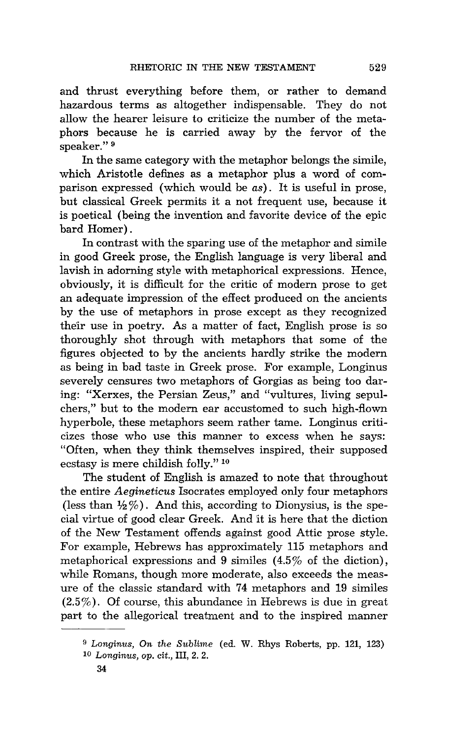and thrust everything before them, or rather to demand hazardous terms as altogether indispensable. They do not allow the hearer leisure to criticize the number of the metaphors because he is carried away by the fervor of the speaker." 9

In the same category with the metaphor belongs the simile, which Aristotle defines as a metaphor plus a word of comparison expressed (which would be *as).* It is useful in prose, but classical Greek permits it a not frequent use, because **it**  is poetical (being the invention and favorite device of the epic bard Homer) .

**In** contrast with the sparing use of the metaphor and simile in good Greek prose, the English language is very liberal and lavish in adorning style with metaphorical expressions. Hence, obviously, it is difficult for the critic of modern prose to get an adequate impression of the effect produced on the ancients by the use of metaphors in prose except as they recognized their use in poetry. As a matter of fact, English prose is so thoroughly shot through with metaphors that some of the figures objected to by the ancients hardly strike the modern as being in bad taste in Greek prose. For example, Longinus severely censures two metaphors of Gorgias as being too daring: "Xerxes, the Persian Zeus," and "vultures, living sepulchers," but to the modern ear accustomed to such high-flown hyperbole, these metaphors seem rather tame. Longinus criticizes those who use this manner to excess when he says: "Often, when they think themselves inspired, their supposed ecstasy is mere childish folly." 10

The student of English is amazed to note that throughout the entire *Aegineticus* Isocrates employed only four metaphors (less than  $\frac{1}{2}\%$ ). And this, according to Dionysius, is the special virtue of good clear Greek. And it is here that the diction of the New Testament offends against good Attic prose style. For example, Hebrews has approximately 115 metaphors and metaphorical expressions and 9 similes  $(4.5\% \text{ of the dictionary})$ , while Romans, though more moderate, also exceeds the measure of the classic standard with 74 metaphors and 19 similes (2.5%). Of course, this abundance in Hebrews is due in great part to the allegorical treatment and to the inspired manner

<sup>9</sup>*Longin'Us, On the Sublime* (ed. W. Rhys Roberts, pp. 121, 123) *10 Longinus,* op. *cit.,* III, 2. 2.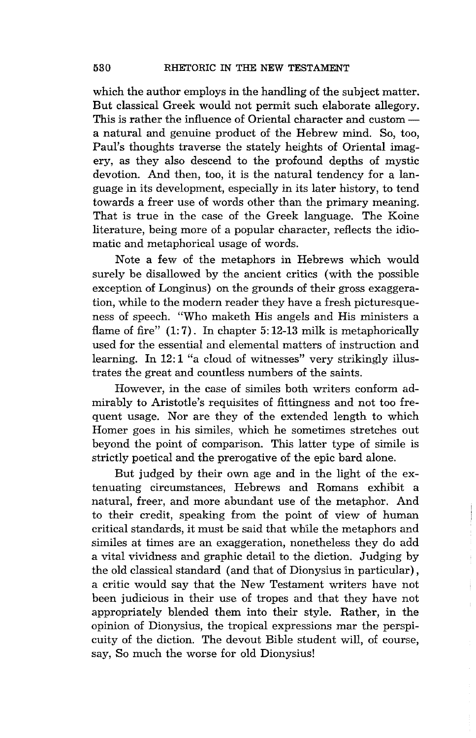which the author employs in the handling of the subject matter. But classical Greek would not permit such elaborate allegory. This is rather the influence of Oriental character and customa natural and genuine product of the Hebrew mind. So, too, Paul's thoughts traverse the stately heights of Oriental imagery, as they also descend to the profound depths of mystic devotion. And then, too, it is the natural tendency for a language in its development, especially in its later history, to tend towards a freer use of words other than the primary meaning. That is true in the case of the Greek language. The Koine literature, being more of a popular character, reflects the idiomatic and metaphorical usage of words.

Note a few of the metaphors in Hebrews which would surely be disallowed by the ancient critics (with the possible exception of Longinus) on the grounds of their gross exaggeration, while to the modern reader they have a fresh picturesqueness of speech. "Who maketh His angels and His ministers a flame of fire"  $(1:7)$ . In chapter 5:12-13 milk is metaphorically used for the essential and elemental matters of instruction and learning. In 12:1 "a cloud of witnesses" very strikingly illustrates the great and countless numbers of the saints.

However, in the case of similes both writers conform admirably to Aristotle's requisites of fittingness and not too frequent usage. Nor are they of the extended length to which Homer goes in his similes, which he sometimes stretches out beyond the point of comparison. This latter type of simile is strictly poetical and the prerogative of the epic bard alone.

But judged by their own age and in the light of the extenuating circumstances, Hebrews and Romans exhibit a natural, freer, and more abundant use of the metaphor. And to their credit, speaking from the point of view of human critical standards, it must be said that wh:ile the metaphors and similes at times are an exaggeration, nonetheless they do add a vital vividness and graphic detail to the diction. Judging by the old classical standard (and that of Dionysius in particular) , a critic would say that the New Testament writers have not been judicious in their use of tropes and that they have not appropriately blended them into their style. Rather, in the opinion of Dionysius, the tropical expressions mar the perspicuity of the diction. The devout Bible student will, of course, say, So much the worse for old Dionysius!